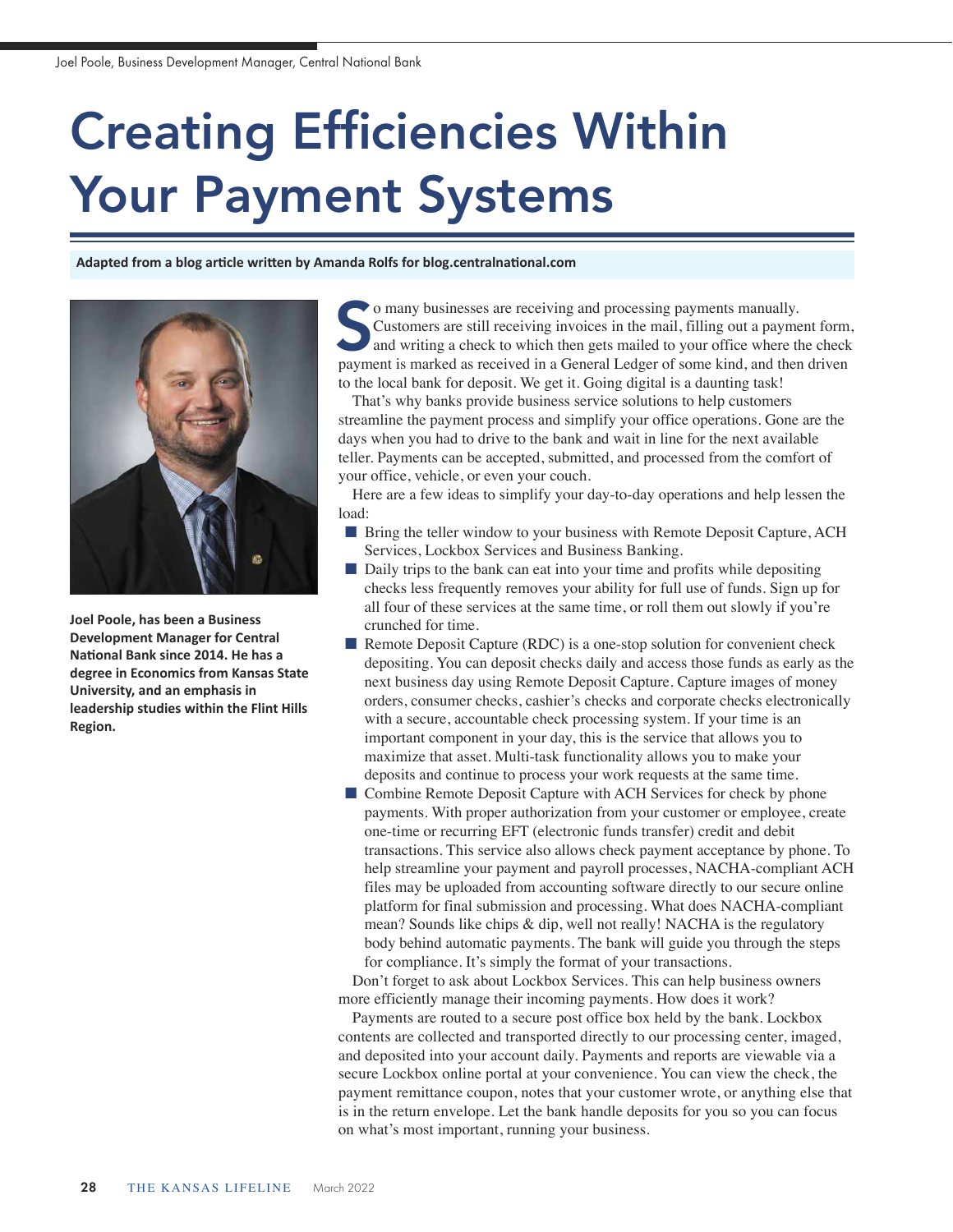## Creating Efficiencies Within Your Payment Systems

**Adapted from a blog article written by Amanda Rolfs for blog.centralnational.com** 



**Joel Poole, has been a Business Development Manager for Central National Bank since 2014. He has a degree in Economics from Kansas State University, and an emphasis in leadership studies within the Flint Hills Region.**

o many businesses are receiving and processing payments manually. Customers are still receiving invoices in the mail, filling out a payment form, and writing a check to which then gets mailed to your office where the check o many businesses are receiving and processing payments manually.<br>Customers are still receiving invoices in the mail, filling out a payment form<br>and writing a check to which then gets mailed to your office where the check<br> to the local bank for deposit. We get it. Going digital is a daunting task!

That's why banks provide business service solutions to help customers streamline the payment process and simplify your office operations. Gone are the days when you had to drive to the bank and wait in line for the next available teller. Payments can be accepted, submitted, and processed from the comfort of your office, vehicle, or even your couch.

Here are a few ideas to simplify your day-to-day operations and help lessen the load:

- **n** Bring the teller window to your business with Remote Deposit Capture, ACH Services, Lockbox Services and Business Banking.
- $\blacksquare$  Daily trips to the bank can eat into your time and profits while depositing checks less frequently removes your ability for full use of funds. Sign up for all four of these services at the same time, or roll them out slowly if you're crunched for time.
- Remote Deposit Capture (RDC) is a one-stop solution for convenient check depositing. You can deposit checks daily and access those funds as early as the next business day using Remote Deposit Capture. Capture images of money orders, consumer checks, cashier's checks and corporate checks electronically with a secure, accountable check processing system. If your time is an important component in your day, this is the service that allows you to maximize that asset. Multi-task functionality allows you to make your deposits and continue to process your work requests at the same time.
- Combine Remote Deposit Capture with ACH Services for check by phone payments. With proper authorization from your customer or employee, create one-time or recurring EFT (electronic funds transfer) credit and debit transactions. This service also allows check payment acceptance by phone. To help streamline your payment and payroll processes, NACHA-compliant ACH files may be uploaded from accounting software directly to our secure online platform for final submission and processing. What does NACHA-compliant mean? Sounds like chips & dip, well not really! NACHA is the regulatory body behind automatic payments. The bank will guide you through the steps for compliance. It's simply the format of your transactions.

Don't forget to ask about Lockbox Services. This can help business owners more efficiently manage their incoming payments. How does it work?

Payments are routed to a secure post office box held by the bank. Lockbox contents are collected and transported directly to our processing center, imaged, and deposited into your account daily. Payments and reports are viewable via a secure Lockbox online portal at your convenience. You can view the check, the payment remittance coupon, notes that your customer wrote, or anything else that is in the return envelope. Let the bank handle deposits for you so you can focus on what's most important, running your business.